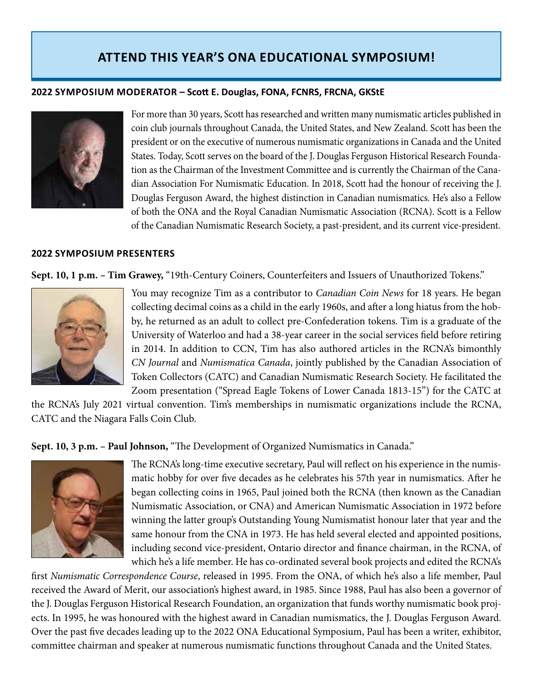## **ATTEND THIS YEAR'S ONA EDUCATIONAL SYMPOSIUM!**

## **2022 SYMPOSIUM MODERATOR – Scott E. Douglas, FONA, FCNRS, FRCNA, GKStE**



For more than 30 years, Scott has researched and written many numismatic articles published in coin club journals throughout Canada, the United States, and New Zealand. Scott has been the president or on the executive of numerous numismatic organizations in Canada and the United States. Today, Scott serves on the board of the J. Douglas Ferguson Historical Research Foundation as the Chairman of the Investment Committee and is currently the Chairman of the Canadian Association For Numismatic Education. In 2018, Scott had the honour of receiving the J. Douglas Ferguson Award, the highest distinction in Canadian numismatics. He's also a Fellow of both the ONA and the Royal Canadian Numismatic Association (RCNA). Scott is a Fellow of the Canadian Numismatic Research Society, a past-president, and its current vice-president.

## **2022 SYMPOSIUM PRESENTERS**

**Sept. 10, 1 p.m. – Tim Grawey,** "19th-Century Coiners, Counterfeiters and Issuers of Unauthorized Tokens."



You may recognize Tim as a contributor to *Canadian Coin News* for 18 years. He began collecting decimal coins as a child in the early 1960s, and after a long hiatus from the hobby, he returned as an adult to collect pre-Confederation tokens. Tim is a graduate of the University of Waterloo and had a 38-year career in the social services field before retiring in 2014. In addition to CCN, Tim has also authored articles in the RCNA's bimonthly *CN Journal* and *Numismatica Canada*, jointly published by the Canadian Association of Token Collectors (CATC) and Canadian Numismatic Research Society. He facilitated the Zoom presentation ("Spread Eagle Tokens of Lower Canada 1813-15") for the CATC at

the RCNA's July 2021 virtual convention. Tim's memberships in numismatic organizations include the RCNA, CATC and the Niagara Falls Coin Club.

**Sept. 10, 3 p.m. – Paul Johnson,** "The Development of Organized Numismatics in Canada."



The RCNA's long-time executive secretary, Paul will reflect on his experience in the numismatic hobby for over five decades as he celebrates his 57th year in numismatics. After he began collecting coins in 1965, Paul joined both the RCNA (then known as the Canadian Numismatic Association, or CNA) and American Numismatic Association in 1972 before winning the latter group's Outstanding Young Numismatist honour later that year and the same honour from the CNA in 1973. He has held several elected and appointed positions, including second vice-president, Ontario director and finance chairman, in the RCNA, of which he's a life member. He has co-ordinated several book projects and edited the RCNA's

first *Numismatic Correspondence Course*, released in 1995. From the ONA, of which he's also a life member, Paul received the Award of Merit, our association's highest award, in 1985. Since 1988, Paul has also been a governor of the J. Douglas Ferguson Historical Research Foundation, an organization that funds worthy numismatic book projects. In 1995, he was honoured with the highest award in Canadian numismatics, the J. Douglas Ferguson Award. Over the past five decades leading up to the 2022 ONA Educational Symposium, Paul has been a writer, exhibitor, committee chairman and speaker at numerous numismatic functions throughout Canada and the United States.